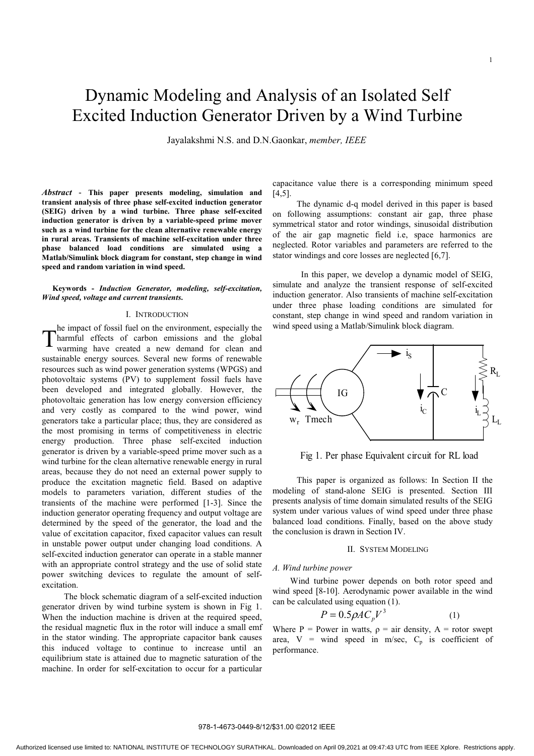# Dynamic Modeling and Analysis of an Isolated Self Excited Induction Generator Driven by a Wind Turbine

Jayalakshmi N.S. and D.N.Gaonkar, *member, IEEE*

*Abstract* - **This paper presents modeling, simulation and transient analysis of three phase self-excited induction generator (SEIG) driven by a wind turbine. Three phase self-excited induction generator is driven by a variable-speed prime mover such as a wind turbine for the clean alternative renewable energy in rural areas. Transients of machine self-excitation under three phase balanced load conditions are simulated using a Matlab/Simulink block diagram for constant, step change in wind speed and random variation in wind speed.** 

**Keywords -** *Induction Generator, modeling, self-excitation, Wind speed, voltage and current transients***.** 

#### I. INTRODUCTION

he impact of fossil fuel on the environment, especially the harmful effects of carbon emissions and the global warming have created a new demand for clean and sustainable energy sources. Several new forms of renewable resources such as wind power generation systems (WPGS) and photovoltaic systems (PV) to supplement fossil fuels have been developed and integrated globally. However, the photovoltaic generation has low energy conversion efficiency and very costly as compared to the wind power, wind generators take a particular place; thus, they are considered as the most promising in terms of competitiveness in electric energy production. Three phase self-excited induction generator is driven by a variable-speed prime mover such as a wind turbine for the clean alternative renewable energy in rural areas, because they do not need an external power supply to produce the excitation magnetic field. Based on adaptive models to parameters variation, different studies of the transients of the machine were performed [1-3]. Since the induction generator operating frequency and output voltage are determined by the speed of the generator, the load and the value of excitation capacitor, fixed capacitor values can result in unstable power output under changing load conditions. A self-excited induction generator can operate in a stable manner with an appropriate control strategy and the use of solid state power switching devices to regulate the amount of selfexcitation. T

 The block schematic diagram of a self-excited induction generator driven by wind turbine system is shown in Fig 1. When the induction machine is driven at the required speed, the residual magnetic flux in the rotor will induce a small emf in the stator winding. The appropriate capacitor bank causes this induced voltage to continue to increase until an equilibrium state is attained due to magnetic saturation of the machine. In order for self-excitation to occur for a particular capacitance value there is a corresponding minimum speed [4,5].

 The dynamic d-q model derived in this paper is based on following assumptions: constant air gap, three phase symmetrical stator and rotor windings, sinusoidal distribution of the air gap magnetic field i.e, space harmonics are neglected. Rotor variables and parameters are referred to the stator windings and core losses are neglected [6,7].

 In this paper, we develop a dynamic model of SEIG, simulate and analyze the transient response of self-excited induction generator. Also transients of machine self-excitation under three phase loading conditions are simulated for constant, step change in wind speed and random variation in wind speed using a Matlab/Simulink block diagram.



Fig 1. Per phase Equivalent circuit for RL load

 This paper is organized as follows: In Section II the modeling of stand-alone SEIG is presented. Section III presents analysis of time domain simulated results of the SEIG system under various values of wind speed under three phase balanced load conditions. Finally, based on the above study the conclusion is drawn in Section IV.

# II. SYSTEM MODELING

# *A. Wind turbine power*

 Wind turbine power depends on both rotor speed and wind speed [8-10]. Aerodynamic power available in the wind can be calculated using equation (1).

$$
P = 0.5 \rho A C_p V^3 \tag{1}
$$

Where P = Power in watts,  $\rho = \text{air density}, A = \text{rotor swept}$ area,  $V =$  wind speed in m/sec,  $C_p$  is coefficient of performance.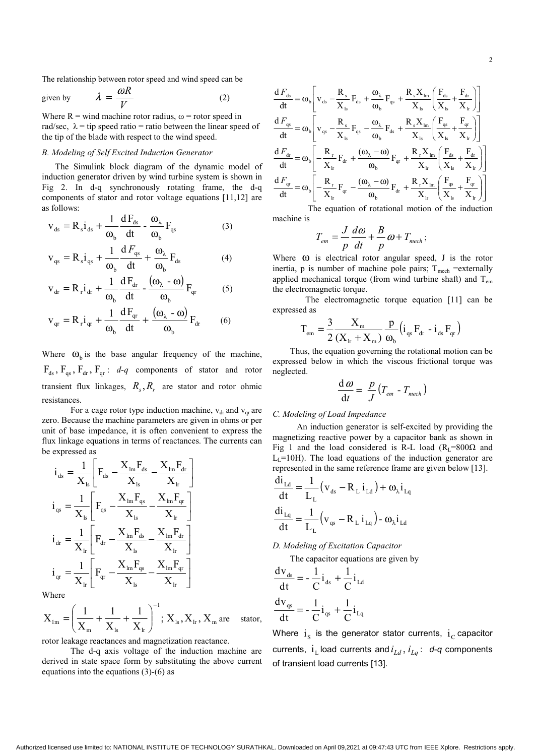The relationship between rotor speed and wind speed can be

given by 
$$
\lambda = \frac{\omega R}{V}
$$
 (2)

Where  $R =$  wind machine rotor radius,  $\omega =$  rotor speed in rad/sec,  $\lambda$  = tip speed ratio = ratio between the linear speed of the tip of the blade with respect to the wind speed.

# *B. Modeling of Self Excited Induction Generator*

 The Simulink block diagram of the dynamic model of induction generator driven by wind turbine system is shown in Fig 2. In d-q synchronously rotating frame, the d-q components of stator and rotor voltage equations [11,12] are as follows:

$$
v_{ds} = R_s i_{ds} + \frac{1}{\omega_b} \frac{dF_{ds}}{dt} - \frac{\omega_{\lambda}}{\omega_b} F_{qs}
$$
(3)

$$
v_{qs} = R_s i_{qs} + \frac{1}{\omega_b} \frac{dF_{qs}}{dt} + \frac{\omega_\lambda}{\omega_b} F_{ds}
$$
 (4)

$$
v_{dr} = R_r i_{dr} + \frac{1}{\omega_b} \frac{dF_{dr}}{dt} - \frac{(\omega_{\lambda} - \omega)}{\omega_b} F_{qr}
$$
 (5)

$$
v_{qr} = R_r i_{qr} + \frac{1}{\omega_b} \frac{dF_{qr}}{dt} + \frac{(\omega_{\lambda} - \omega)}{\omega_b} F_{dr}
$$
 (6)

Where  $\omega_{\rm b}$  is the base angular frequency of the machine,  $F_{ds}$ ,  $F_{gs}$ ,  $F_{dr}$ ,  $F_{ar}$ : *d-q* components of stator and rotor transient flux linkages,  $R_{s}$ ,  $R_{r}$  are stator and rotor ohmic resistances.

For a cage rotor type induction machine,  $v_{dr}$  and  $v_{qr}$  are zero. Because the machine parameters are given in ohms or per unit of base impedance, it is often convenient to express the flux linkage equations in terms of reactances. The currents can be expressed as

$$
i_{ds} = \frac{1}{X_{ls}} \left[ F_{ds} - \frac{X_{lm}F_{ds}}{X_{ls}} - \frac{X_{lm}F_{dr}}{X_{lr}} \right]
$$
  

$$
i_{qs} = \frac{1}{X_{ls}} \left[ F_{qs} - \frac{X_{lm}F_{qs}}{X_{ls}} - \frac{X_{lm}F_{qr}}{X_{lr}} \right]
$$
  

$$
i_{dr} = \frac{1}{X_{lr}} \left[ F_{dr} - \frac{X_{lm}F_{ds}}{X_{ls}} - \frac{X_{lm}F_{dr}}{X_{lr}} \right]
$$
  

$$
i_{qr} = \frac{1}{X_{lr}} \left[ F_{qr} - \frac{X_{lm}F_{qs}}{X_{ls}} - \frac{X_{lm}F_{qr}}{X_{lr}} \right]
$$

Where

$$
X_{\text{Im}} = \left(\frac{1}{X_{\text{m}}} + \frac{1}{X_{\text{ls}}} + \frac{1}{X_{\text{lr}}}\right)^{-1}; X_{\text{ls}}, X_{\text{lr}}, X_{\text{m}} \text{ are } \text{star},
$$

rotor leakage reactances and magnetization reactance.

 The d-q axis voltage of the induction machine are derived in state space form by substituting the above current equations into the equations (3)-(6) as

$$
\begin{aligned} &\frac{\mathrm{d}\,F_{_{\mathrm{ds}}}}{\mathrm{d}t}=\omega_{\mathrm{b}}\Bigg[\mathrm{v}_{\mathrm{ds}}-\frac{\mathrm{R}_{_{\mathrm{s}}}}{\mathrm{X}_{_{\mathrm{ls}}}}\, \mathrm{F}_{_{\mathrm{ds}}}+\frac{\mathrm{W}_{_{\mathrm{s}}}}{\mathrm{W}_{_{\mathrm{b}}}}\, \mathrm{F}_{_{\mathrm{qs}}}+\frac{\mathrm{R}_{_{\mathrm{s}}}\mathrm{X}_{_{\mathrm{lm}}}}{\mathrm{X}_{_{\mathrm{ls}}}}\Bigg(\frac{\mathrm{F}_{_{\mathrm{ds}}}}{\mathrm{X}_{_{\mathrm{ls}}}}+\frac{\mathrm{F}_{_{\mathrm{dr}}}}{\mathrm{X}_{_{\mathrm{lr}}}}\Bigg) \Bigg] \\ &\frac{\mathrm{d}\,F_{_{\mathrm{qs}}}}{\mathrm{d}t}=\omega_{\mathrm{b}}\Bigg[\mathrm{v}_{_{\mathrm{qs}}}-\frac{\mathrm{R}_{_{\mathrm{s}}}}{\mathrm{X}_{_{\mathrm{ls}}}}\, \mathrm{F}_{_{\mathrm{qs}}}-\frac{\mathrm{W}_{_{\mathrm{A}}}}{\mathrm{W}_{_{\mathrm{b}}}}\, \mathrm{F}_{_{\mathrm{ds}}}+\frac{\mathrm{R}_{_{\mathrm{s}}}\mathrm{X}_{\mathrm{lm}}}{\mathrm{X}_{_{\mathrm{ls}}}}\Bigg(\frac{\mathrm{F}_{_{\mathrm{qs}}}}{\mathrm{X}_{_{\mathrm{ls}}}}+\frac{\mathrm{F}_{_{\mathrm{qr}}}}{\mathrm{X}_{_{\mathrm{lr}}}}\Bigg) \Bigg] \\ &\frac{\mathrm{d}\,F_{_{\mathrm{dr}}}}{\mathrm{d}t}=\omega_{\mathrm{b}}\Bigg[-\frac{\mathrm{R}_{_{\mathrm{r}}}}{\mathrm{X}_{_{\mathrm{lr}}}}\, \mathrm{F}_{_{\mathrm{dr}}}+\frac{(\mathrm{W}_{_{\mathrm{A}}}-\mathrm{W})}{\mathrm{W}_{_{\mathrm{b}}}}\, \mathrm{F}_{_{\mathrm{qr}}}+\frac{\mathrm{R}_{_{\mathrm{r}}}\mathrm{X}_{\mathrm{lm}}}{\mathrm{X}_{_{\mathrm{lr}}}}\Bigg(\frac{\mathrm{F}_{_{\mathrm{ds}}}}{\mathrm{X}_{_{\mathrm{ls}}}}+\frac{\mathrm{F}_{_{\mathrm{dr}}}}{\mathrm{X}_{_{\mathrm{lr}}}}\Bigg) \Bigg] \\ &\frac{\mathrm{d}\,F_{_{\mathrm{qr}}}}{\mathrm{d}t}=\omega_{\mathrm{b}}\Bigg[-\frac{\mathrm{R}_{_{\mathrm{r}}}}{\mathrm{X}_{_{\mathrm{lr}}}}\, \mathrm{F}_{_{\mathrm{qr}}}-\frac{(\mathrm{W}_{_{
$$

 The equation of rotational motion of the induction machine is

$$
T_{em} = \frac{J}{p} \frac{d\omega}{dt} + \frac{B}{p} \omega + T_{mech} ;
$$

Where  $\omega$  is electrical rotor angular speed, J is the rotor inertia, p is number of machine pole pairs;  $T_{mech}$  =externally applied mechanical torque (from wind turbine shaft) and Tem the electromagnetic torque.

 The electromagnetic torque equation [11] can be expressed as

$$
\boldsymbol{T}_{\text{em}} = \frac{3}{2} \frac{\boldsymbol{X}_{\text{m}}}{\left(\boldsymbol{X}_{\text{lr}} + \boldsymbol{X}_{\text{m}}\right)} \frac{\boldsymbol{p}}{\boldsymbol{\omega}_{\text{b}}} \Big(\boldsymbol{i}_{\text{qs}} \, \boldsymbol{F}_{\text{dr}} - \boldsymbol{i}_{\text{ds}} \, \boldsymbol{F}_{\text{qr}}\,\Big)
$$

 Thus, the equation governing the rotational motion can be expressed below in which the viscous frictional torque was neglected.

$$
\frac{\mathrm{d}\,\omega}{\mathrm{d}t} = \frac{p}{J}\left(T_{em} - T_{mech}\right)
$$

### *C. Modeling of Load Impedance*

 An induction generator is self-excited by providing the magnetizing reactive power by a capacitor bank as shown in Fig 1 and the load considered is R-L load ( $R_1$ =800 $\Omega$  and  $L_1=10$ H). The load equations of the induction generator are represented in the same reference frame are given below [13].

$$
\frac{di_{Ld}}{dt} = \frac{1}{L_{L}} (v_{ds} - R_{L} i_{Ld}) + \omega_{\lambda} i_{Lq}
$$

$$
\frac{di_{Lq}}{dt} = \frac{1}{L_{L}} (v_{qs} - R_{L} i_{Lq}) - \omega_{\lambda} i_{Ld}
$$

*D. Modeling of Excitation Capacitor* 

The capacitor equations are given by

$$
\frac{d\mathbf{v}_{ds}}{dt} = -\frac{1}{C}\mathbf{i}_{ds} + \frac{1}{C}\mathbf{i}_{Ld}
$$

$$
\frac{d\mathbf{v}_{qs}}{dt} = -\frac{1}{C}\mathbf{i}_{qs} + \frac{1}{C}\mathbf{i}_{Lq}
$$

Where  $i_s$  is the generator stator currents,  $i_c$  capacitor currents,  $i_L$  load currents and  $i_{Ld}$ ,  $i_{Lq}$ :  $d$ -q components of transient load currents [13].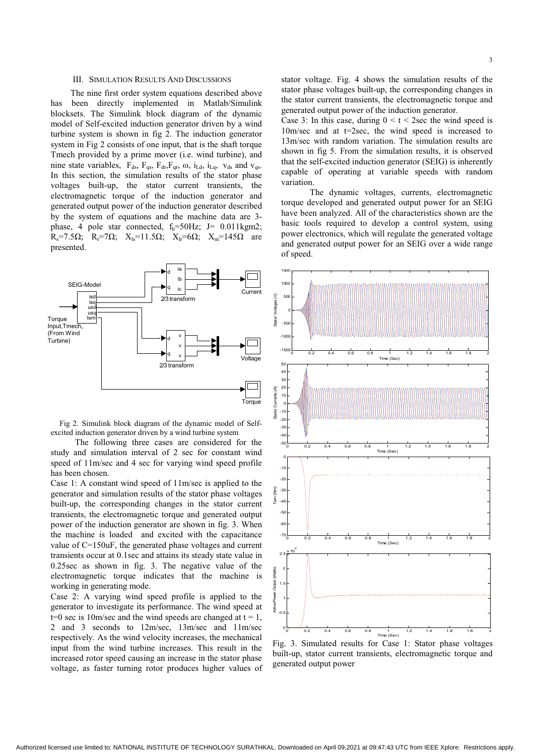#### III. SIMULATION RESULTS AND DISCUSSIONS

 The nine first order system equations described above has been directly implemented in Matlab/Simulink blocksets. The Simulink block diagram of the dynamic model of Self-excited induction generator driven by a wind turbine system is shown in fig 2. The induction generator system in Fig 2 consists of one input, that is the shaft torque Tmech provided by a prime mover (i.e. wind turbine), and nine state variables,  $F_{ds}$ ,  $F_{ds}$ ,  $F_{dr}$ ,  $F_{gr}$ ,  $\omega$ ,  $i_{Ld}$ ,  $i_{Lg}$ ,  $v_{ds}$  and  $v_{gs}$ . In this section, the simulation results of the stator phase voltages built-up, the stator current transients, the electromagnetic torque of the induction generator and generated output power of the induction generator described by the system of equations and the machine data are 3 phase, 4 pole star connected,  $f_b = 50$ Hz; J= 0.011kgm2;  $R_s$ =7.5 $\Omega$ ;  $R_r$ =7 $\Omega$ ;  $X_{ls}$ =11.5 $\Omega$ ;  $X_{lr}$ =6 $\Omega$ ;  $X_m$ =145 $\Omega$  are presented.



Fig 2. Simulink block diagram of the dynamic model of Selfexcited induction generator driven by a wind turbine system

 The following three cases are considered for the study and simulation interval of 2 sec for constant wind speed of 11m/sec and 4 sec for varying wind speed profile has been chosen.

Case 1: A constant wind speed of 11m/sec is applied to the generator and simulation results of the stator phase voltages built-up, the corresponding changes in the stator current transients, the electromagnetic torque and generated output power of the induction generator are shown in fig. 3. When the machine is loaded and excited with the capacitance value of C=150uF, the generated phase voltages and current transients occur at 0.1sec and attains its steady state value in 0.25sec as shown in fig. 3. The negative value of the electromagnetic torque indicates that the machine is working in generating mode.

Case 2: A varying wind speed profile is applied to the generator to investigate its performance. The wind speed at  $t=0$  sec is 10m/sec and the wind speeds are changed at  $t = 1$ , 2 and 3 seconds to 12m/sec, 13m/sec and 11m/sec respectively. As the wind velocity increases, the mechanical input from the wind turbine increases. This result in the increased rotor speed causing an increase in the stator phase voltage, as faster turning rotor produces higher values of stator voltage. Fig. 4 shows the simulation results of the stator phase voltages built-up, the corresponding changes in the stator current transients, the electromagnetic torque and generated output power of the induction generator.

Case 3: In this case, during  $0 < t < 2$ sec the wind speed is 10m/sec and at t=2sec, the wind speed is increased to 13m/sec with random variation. The simulation results are shown in fig 5. From the simulation results, it is observed that the self-excited induction generator (SEIG) is inherently capable of operating at variable speeds with random variation.

 The dynamic voltages, currents, electromagnetic torque developed and generated output power for an SEIG have been analyzed. All of the characteristics shown are the basic tools required to develop a control system, using power electronics, which will regulate the generated voltage and generated output power for an SEIG over a wide range of speed.



Fig. 3. Simulated results for Case 1: Stator phase voltages built-up, stator current transients, electromagnetic torque and generated output power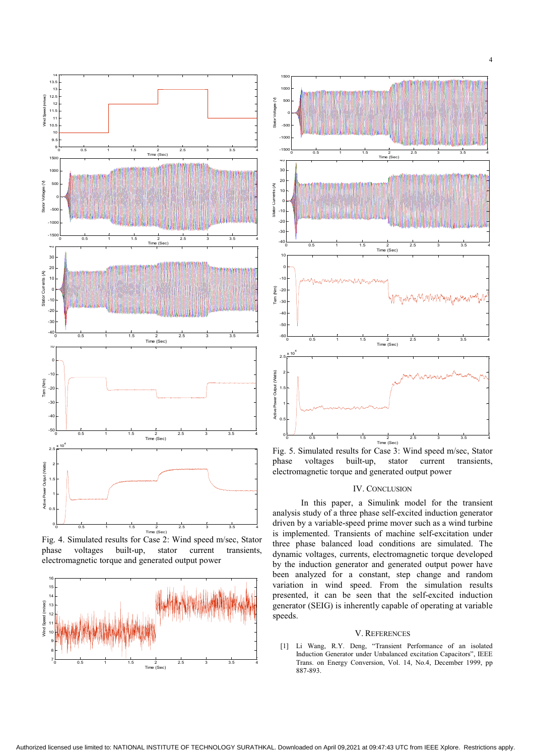

Fig. 4. Simulated results for Case 2: Wind speed m/sec, Stator phase voltages built-up, stator current transients, electromagnetic torque and generated output power





Fig. 5. Simulated results for Case 3: Wind speed m/sec, Stator<br>phase voltages built-up, stator current transients, voltages built-up, stator current transients, electromagnetic torque and generated output power

# IV. CONCLUSION

 In this paper, a Simulink model for the transient analysis study of a three phase self-excited induction generator driven by a variable-speed prime mover such as a wind turbine is implemented. Transients of machine self-excitation under three phase balanced load conditions are simulated. The dynamic voltages, currents, electromagnetic torque developed by the induction generator and generated output power have been analyzed for a constant, step change and random variation in wind speed. From the simulation results presented, it can be seen that the self-excited induction generator (SEIG) is inherently capable of operating at variable speeds.

# V. REFERENCES

[1] Li Wang, R.Y. Deng, "Transient Performance of an isolated Induction Generator under Unbalanced excitation Capacitors", IEEE Trans. on Energy Conversion, Vol. 14, No.4, December 1999, pp 887-893.